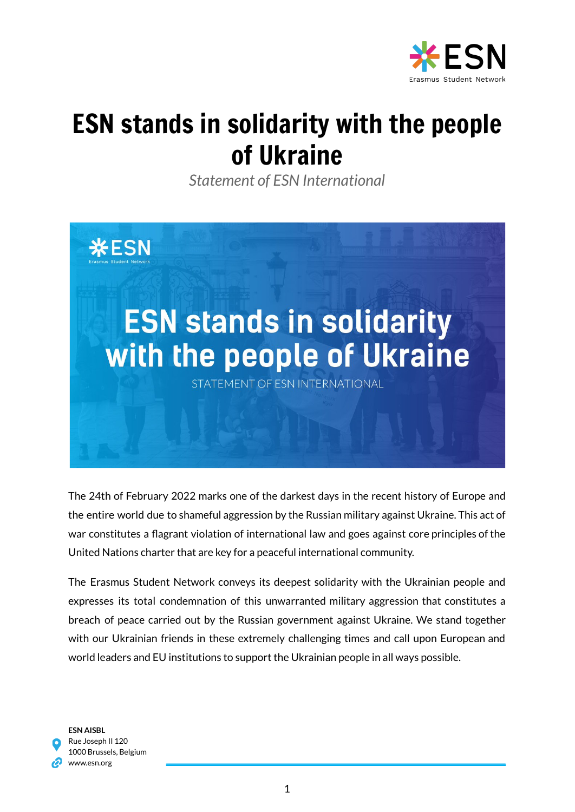

## ESN stands in solidarity with the people of Ukraine

*Statement of ESN International*



The 24th of February 2022 marks one of the darkest days in the recent history of Europe and the entire world due to shameful aggression by the Russian military against Ukraine. This act of war constitutes a flagrant violation of international law and goes against core principles of the United Nations charter that are key for a peaceful international community.

The Erasmus Student Network conveys its deepest solidarity with the Ukrainian people and expresses its total condemnation of this unwarranted military aggression that constitutes a breach of peace carried out by the Russian government against Ukraine. We stand together with our Ukrainian friends in these extremely challenging times and call upon European and world leaders and EU institutions to support the Ukrainian people in all ways possible.

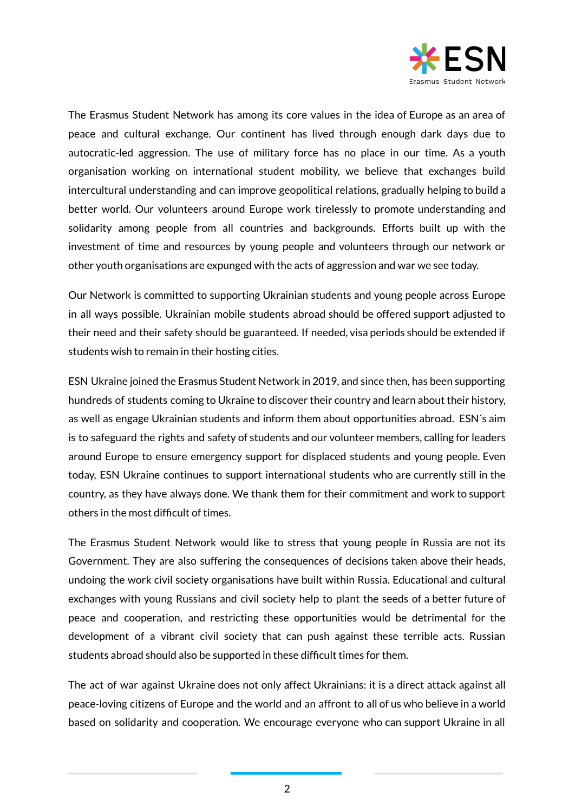

The Erasmus Student Network has among its core values in the idea of Europe as an area of peace and cultural exchange. Our continent has lived through enough dark days due to autocratic-led aggression. The use of military force has no place in our time. As a youth organisation working on international student mobility, we believe that exchanges build intercultural understanding and can improve geopolitical relations, gradually helping to build a better world. Our volunteers around Europe work tirelessly to promote understanding and solidarity among people from all countries and backgrounds. Efforts built up with the investment of time and resources by young people and volunteers through our network or other youth organisations are expunged with the acts of aggression and war we see today.

Our Network is committed to supporting Ukrainian students and young people across Europe in all ways possible. Ukrainian mobile students abroad should be offered support adjusted to their need and their safety should be guaranteed. If needed, visa periods should be extended if students wish to remain in their hosting cities.

ESN Ukraine joined the Erasmus Student Network in 2019, and since then, has been supporting hundreds of students coming to Ukraine to discover their country and learn about their history, as well as engage Ukrainian students and inform them about opportunities abroad. ESN´s aim is to safeguard the rights and safety of students and our volunteer members, calling for leaders around Europe to ensure emergency support for displaced students and young people. Even today, ESN Ukraine continues to support international students who are currently still in the country, as they have always done. We thank them for their commitment and work to support others in the most difficult of times.

The Erasmus Student Network would like to stress that young people in Russia are not its Government. They are also suffering the consequences of decisions taken above their heads, undoing the work civil society organisations have built within Russia. Educational and cultural exchanges with young Russians and civil society help to plant the seeds of a better future of peace and cooperation, and restricting these opportunities would be detrimental for the development of a vibrant civil society that can push against these terrible acts. Russian students abroad should also be supported in these difficult times for them.

The act of war against Ukraine does not only affect Ukrainians: it is a direct attack against all peace-loving citizens of Europe and the world and an affront to all of us who believe in a world based on solidarity and cooperation. We encourage everyone who can support Ukraine in all